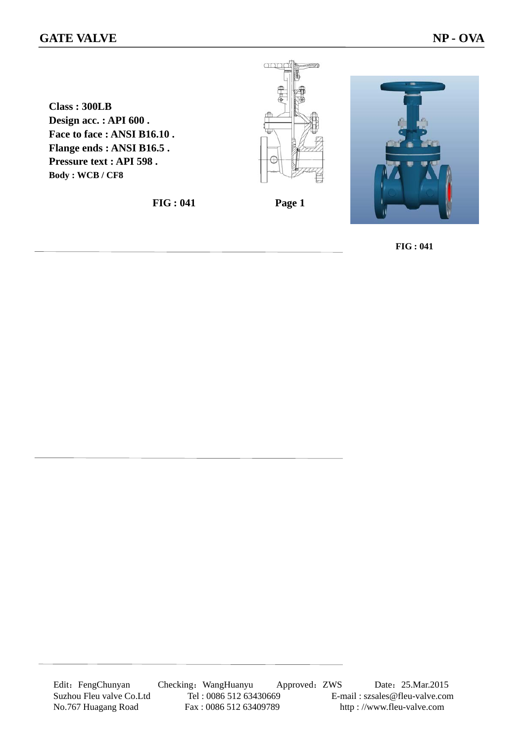## **GATE VALVE** NP - OVA

**Class : 300LB Design acc. : API 600 . Face to face : ANSI B16.10 . Flange ends : ANSI B16.5 . Pressure text : API 598 . Body : WCB / CF8**

**FIG : 041 Page 1** 

 $\alpha$ 



 **FIG : 041**